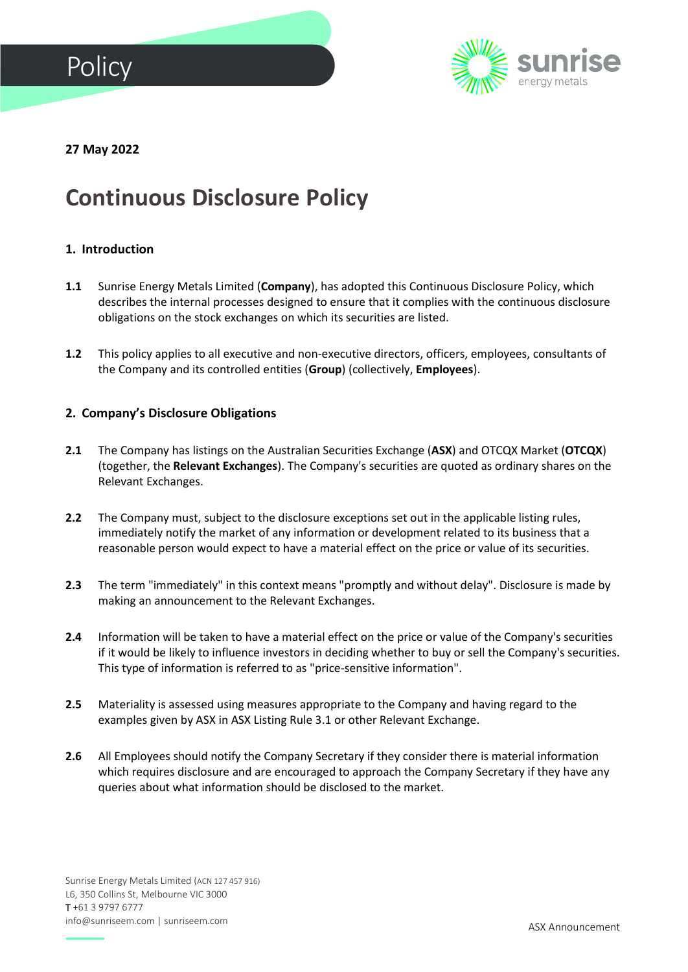



**27 May 2022**

# **Continuous Disclosure Policy**

# **1. Introduction**

- **1.1** Sunrise Energy Metals Limited (**Company**), has adopted this Continuous Disclosure Policy, which describes the internal processes designed to ensure that it complies with the continuous disclosure obligations on the stock exchanges on which its securities are listed.
- **1.2** This policy applies to all executive and non-executive directors, officers, employees, consultants of the Company and its controlled entities (**Group**) (collectively, **Employees**).

#### **2. Company's Disclosure Obligations**

- **2.1** The Company has listings on the Australian Securities Exchange (**ASX**) and OTCQX Market (**OTCQX**) (together, the **Relevant Exchanges**). The Company's securities are quoted as ordinary shares on the Relevant Exchanges.
- 2.2 The Company must, subject to the disclosure exceptions set out in the applicable listing rules, immediately notify the market of any information or development related to its business that a reasonable person would expect to have a material effect on the price or value of its securities.
- **2.3** The term "immediately" in this context means "promptly and without delay". Disclosure is made by making an announcement to the Relevant Exchanges.
- **2.4** Information will be taken to have a material effect on the price or value of the Company's securities if it would be likely to influence investors in deciding whether to buy or sell the Company's securities. This type of information is referred to as "price-sensitive information".
- **2.5** Materiality is assessed using measures appropriate to the Company and having regard to the examples given by ASX in ASX Listing Rule 3.1 or other Relevant Exchange.
- **2.6** All Employees should notify the Company Secretary if they consider there is material information which requires disclosure and are encouraged to approach the Company Secretary if they have any queries about what information should be disclosed to the market.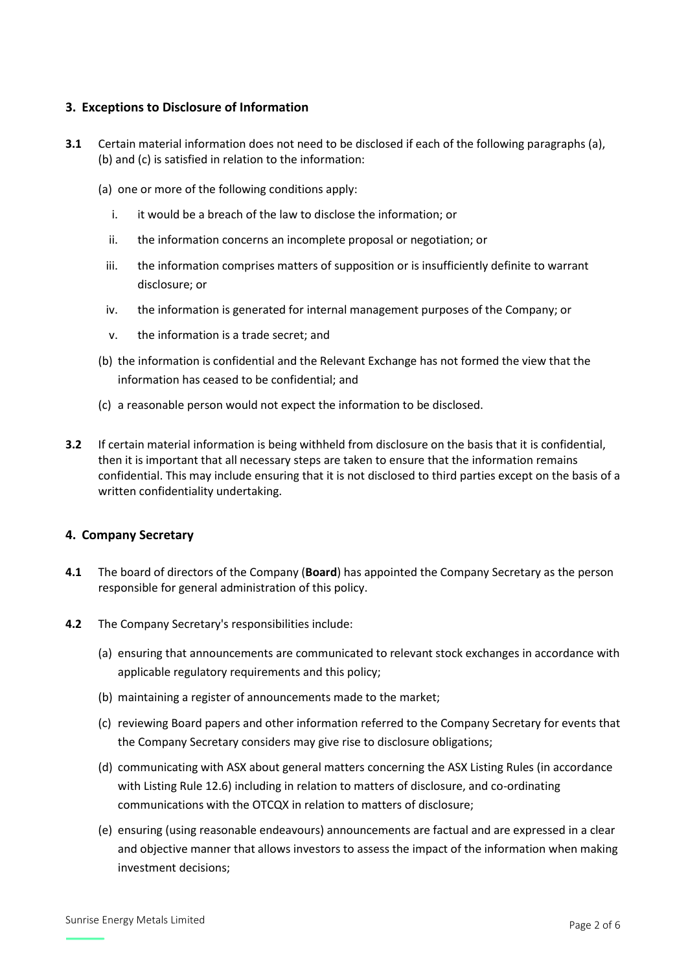# **3. Exceptions to Disclosure of Information**

- **3.1** Certain material information does not need to be disclosed if each of the following paragraphs (a), (b) and (c) is satisfied in relation to the information:
	- (a) one or more of the following conditions apply:
		- i. it would be a breach of the law to disclose the information; or
		- ii. the information concerns an incomplete proposal or negotiation; or
		- iii. the information comprises matters of supposition or is insufficiently definite to warrant disclosure; or
		- iv. the information is generated for internal management purposes of the Company; or
		- v. the information is a trade secret; and
	- (b) the information is confidential and the Relevant Exchange has not formed the view that the information has ceased to be confidential; and
	- (c) a reasonable person would not expect the information to be disclosed.
- **3.2** If certain material information is being withheld from disclosure on the basis that it is confidential, then it is important that all necessary steps are taken to ensure that the information remains confidential. This may include ensuring that it is not disclosed to third parties except on the basis of a written confidentiality undertaking.

#### **4. Company Secretary**

- **4.1** The board of directors of the Company (**Board**) has appointed the Company Secretary as the person responsible for general administration of this policy.
- **4.2** The Company Secretary's responsibilities include:
	- (a) ensuring that announcements are communicated to relevant stock exchanges in accordance with applicable regulatory requirements and this policy;
	- (b) maintaining a register of announcements made to the market;
	- (c) reviewing Board papers and other information referred to the Company Secretary for events that the Company Secretary considers may give rise to disclosure obligations;
	- (d) communicating with ASX about general matters concerning the ASX Listing Rules (in accordance with Listing Rule 12.6) including in relation to matters of disclosure, and co-ordinating communications with the OTCQX in relation to matters of disclosure;
	- (e) ensuring (using reasonable endeavours) announcements are factual and are expressed in a clear and objective manner that allows investors to assess the impact of the information when making investment decisions;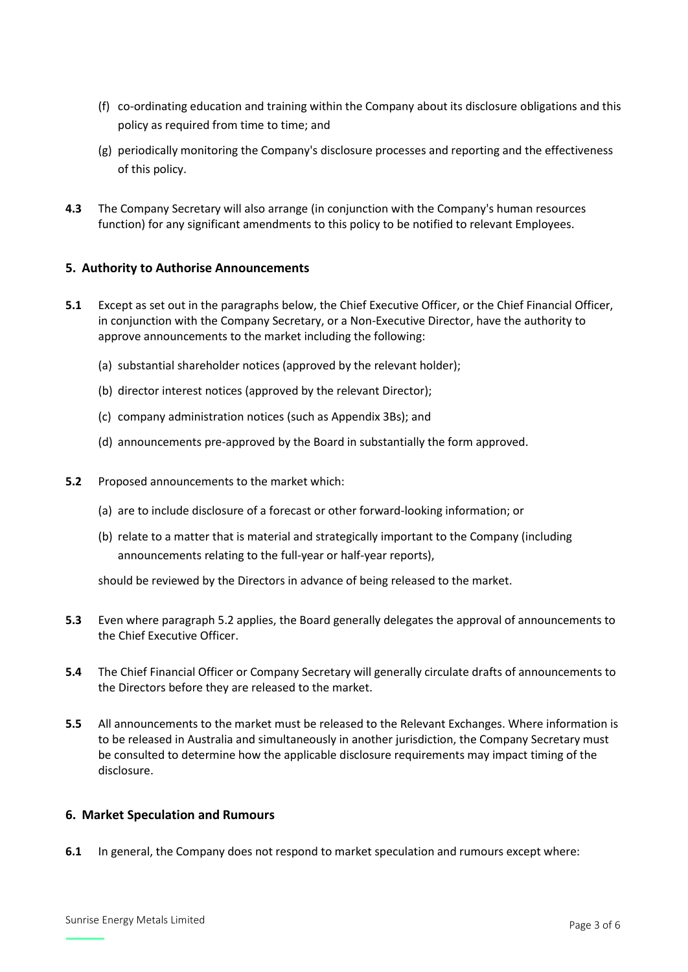- (f) co-ordinating education and training within the Company about its disclosure obligations and this policy as required from time to time; and
- (g) periodically monitoring the Company's disclosure processes and reporting and the effectiveness of this policy.
- **4.3** The Company Secretary will also arrange (in conjunction with the Company's human resources function) for any significant amendments to this policy to be notified to relevant Employees.

# **5. Authority to Authorise Announcements**

- **5.1** Except as set out in the paragraphs below, the Chief Executive Officer, or the Chief Financial Officer, in conjunction with the Company Secretary, or a Non-Executive Director, have the authority to approve announcements to the market including the following:
	- (a) substantial shareholder notices (approved by the relevant holder);
	- (b) director interest notices (approved by the relevant Director);
	- (c) company administration notices (such as Appendix 3Bs); and
	- (d) announcements pre-approved by the Board in substantially the form approved.
- **5.2** Proposed announcements to the market which:
	- (a) are to include disclosure of a forecast or other forward-looking information; or
	- (b) relate to a matter that is material and strategically important to the Company (including announcements relating to the full-year or half-year reports),

should be reviewed by the Directors in advance of being released to the market.

- **5.3** Even where paragraph 5.2 applies, the Board generally delegates the approval of announcements to the Chief Executive Officer.
- **5.4** The Chief Financial Officer or Company Secretary will generally circulate drafts of announcements to the Directors before they are released to the market.
- **5.5** All announcements to the market must be released to the Relevant Exchanges. Where information is to be released in Australia and simultaneously in another jurisdiction, the Company Secretary must be consulted to determine how the applicable disclosure requirements may impact timing of the disclosure.

#### **6. Market Speculation and Rumours**

**6.1** In general, the Company does not respond to market speculation and rumours except where: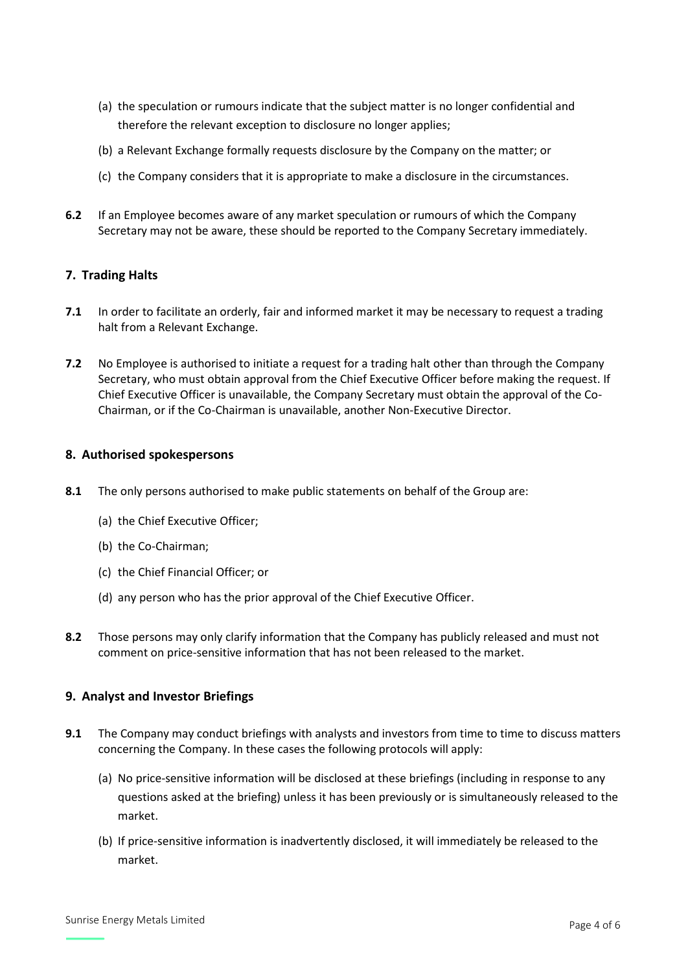- (a) the speculation or rumours indicate that the subject matter is no longer confidential and therefore the relevant exception to disclosure no longer applies;
- (b) a Relevant Exchange formally requests disclosure by the Company on the matter; or
- (c) the Company considers that it is appropriate to make a disclosure in the circumstances.
- **6.2** If an Employee becomes aware of any market speculation or rumours of which the Company Secretary may not be aware, these should be reported to the Company Secretary immediately.

# **7. Trading Halts**

- **7.1** In order to facilitate an orderly, fair and informed market it may be necessary to request a trading halt from a Relevant Exchange.
- **7.2** No Employee is authorised to initiate a request for a trading halt other than through the Company Secretary, who must obtain approval from the Chief Executive Officer before making the request. If Chief Executive Officer is unavailable, the Company Secretary must obtain the approval of the Co-Chairman, or if the Co-Chairman is unavailable, another Non-Executive Director.

#### **8. Authorised spokespersons**

- **8.1** The only persons authorised to make public statements on behalf of the Group are:
	- (a) the Chief Executive Officer;
	- (b) the Co-Chairman;
	- (c) the Chief Financial Officer; or
	- (d) any person who has the prior approval of the Chief Executive Officer.
- **8.2** Those persons may only clarify information that the Company has publicly released and must not comment on price-sensitive information that has not been released to the market.

# **9. Analyst and Investor Briefings**

- **9.1** The Company may conduct briefings with analysts and investors from time to time to discuss matters concerning the Company. In these cases the following protocols will apply:
	- (a) No price-sensitive information will be disclosed at these briefings (including in response to any questions asked at the briefing) unless it has been previously or is simultaneously released to the market.
	- (b) If price-sensitive information is inadvertently disclosed, it will immediately be released to the market.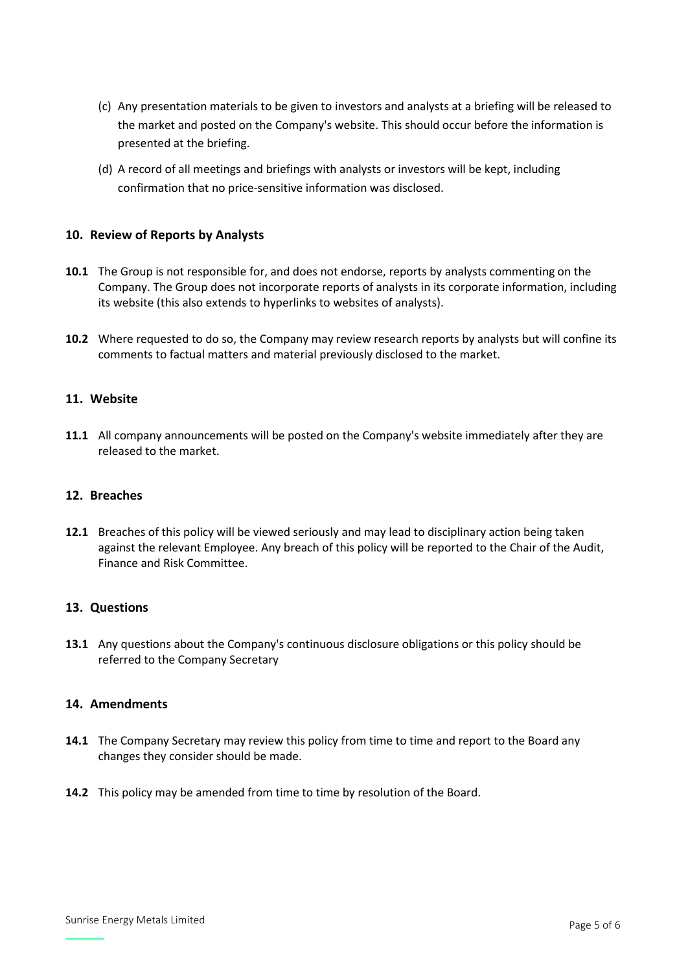- (c) Any presentation materials to be given to investors and analysts at a briefing will be released to the market and posted on the Company's website. This should occur before the information is presented at the briefing.
- (d) A record of all meetings and briefings with analysts or investors will be kept, including confirmation that no price-sensitive information was disclosed.

#### **10. Review of Reports by Analysts**

- **10.1** The Group is not responsible for, and does not endorse, reports by analysts commenting on the Company. The Group does not incorporate reports of analysts in its corporate information, including its website (this also extends to hyperlinks to websites of analysts).
- **10.2** Where requested to do so, the Company may review research reports by analysts but will confine its comments to factual matters and material previously disclosed to the market.

#### **11. Website**

**11.1** All company announcements will be posted on the Company's website immediately after they are released to the market.

#### **12. Breaches**

**12.1** Breaches of this policy will be viewed seriously and may lead to disciplinary action being taken against the relevant Employee. Any breach of this policy will be reported to the Chair of the Audit, Finance and Risk Committee.

#### **13. Questions**

**13.1** Any questions about the Company's continuous disclosure obligations or this policy should be referred to the Company Secretary

## **14. Amendments**

- **14.1** The Company Secretary may review this policy from time to time and report to the Board any changes they consider should be made.
- **14.2** This policy may be amended from time to time by resolution of the Board.